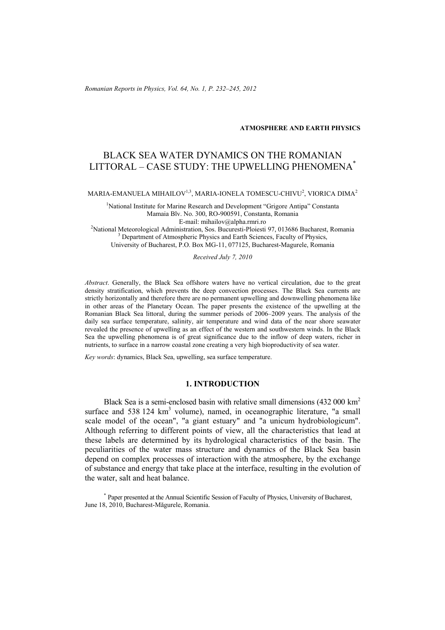*Romanian Reports in Physics, Vol. 64, No. 1, P. 232–245, 2012*

**ATMOSPHERE AND EARTH PHYSICS**

# BLACK SEA WATER DYNAMICS ON THE ROMANIAN LITTORAL – CASE STUDY: THE UPWELLING PHENOMENA\*

MARIA-EMANUELA MIHAILOV $^{1,3}$ , MARIA-IONELA TOMESCU-CHIVU $^{2}$ , VIORICA DIMA $^{2}$ 

<sup>1</sup>National Institute for Marine Research and Development "Grigore Antipa" Constanta Mamaia Blv. No. 300, RO-900591, Constanta, Romania E-mail: mihailov@alpha.rmri.ro<br><sup>2</sup>National Mateoralogical Administration, Sos. Buquresti Blojecti National Meteorological Administration, Sos. Bucuresti-Ploiesti 97, 013686 Bucharest, Romania<br><sup>3</sup> Department of Atmospheria Physics and Earth Sciences, Foculty of Physics Department of Atmospheric Physics and Earth Sciences, Faculty of Physics, University of Bucharest, P.O. Box MG-11, 077125, Bucharest-Magurele, Romania

*Received July 7, 2010*

*Abstract*. Generally, the Black Sea offshore waters have no vertical circulation, due to the great density stratification, which prevents the deep convection processes. The Black Sea currents are strictly horizontally and therefore there are no permanent upwelling and downwelling phenomena like in other areas of the Planetary Ocean. The paper presents the existence of the upwelling at the Romanian Black Sea littoral, during the summer periods of 2006–2009 years. The analysis of the daily sea surface temperature, salinity, air temperature and wind data of the near shore seawater revealed the presence of upwelling as an effect of the western and southwestern winds. In the Black Sea the upwelling phenomena is of great significance due to the inflow of deep waters, richer in nutrients, to surface in a narrow coastal zone creating a very high bioproductivity of sea water.

*Key words*: dynamics, Black Sea, upwelling, sea surface temperature.

## **1. INTRODUCTION**

Black Sea is a semi-enclosed basin with relative small dimensions (432 000 km2 surface and  $538124 \text{ km}^3$  volume), named, in oceanographic literature, "a small scale model of the ocean", "a giant estuary" and "a unicum hydrobiologicum". Although referring to different points of view, all the characteristics that lead at these labels are determined by its hydrological characteristics of the basin. The peculiarities of the water mass structure and dynamics of the Black Sea basin depend on complex processes of interaction with the atmosphere, by the exchange of substance and energy that take place at the interface, resulting in the evolution of the water, salt and heat balance.

\* Paper presented at the Annual Scientific Session of Faculty of Physics, University of Bucharest, June 18, 2010, Bucharest-Măgurele, Romania.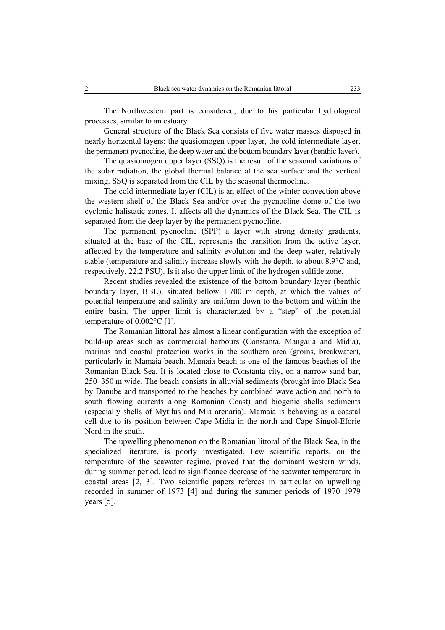The Northwestern part is considered, due to his particular hydrological processes, similar to an estuary.

General structure of the Black Sea consists of five water masses disposed in nearly horizontal layers: the quasiomogen upper layer, the cold intermediate layer, the permanent pycnocline, the deep water and the bottom boundary layer (benthic layer).

The quasiomogen upper layer (SSQ) is the result of the seasonal variations of the solar radiation, the global thermal balance at the sea surface and the vertical mixing. SSQ is separated from the CIL by the seasonal thermocline.

The cold intermediate layer (CIL) is an effect of the winter convection above the western shelf of the Black Sea and/or over the pycnocline dome of the two cyclonic halistatic zones. It affects all the dynamics of the Black Sea. The CIL is separated from the deep layer by the permanent pycnocline.

The permanent pycnocline (SPP) a layer with strong density gradients, situated at the base of the CIL, represents the transition from the active layer, affected by the temperature and salinity evolution and the deep water, relatively stable (temperature and salinity increase slowly with the depth, to about 8.9°C and, respectively, 22.2 PSU). Is it also the upper limit of the hydrogen sulfide zone.

Recent studies revealed the existence of the bottom boundary layer (benthic boundary layer, BBL), situated bellow 1 700 m depth, at which the values of potential temperature and salinity are uniform down to the bottom and within the entire basin. The upper limit is characterized by a "step" of the potential temperature of 0.002°C [1].

The Romanian littoral has almost a linear configuration with the exception of build-up areas such as commercial harbours (Constanta, Mangalia and Midia), marinas and coastal protection works in the southern area (groins, breakwater), particularly in Mamaia beach. Mamaia beach is one of the famous beaches of the Romanian Black Sea. It is located close to Constanta city, on a narrow sand bar, 250–350 m wide. The beach consists in alluvial sediments (brought into Black Sea by Danube and transported to the beaches by combined wave action and north to south flowing currents along Romanian Coast) and biogenic shells sediments (especially shells of Mytilus and Mia arenaria). Mamaia is behaving as a coastal cell due to its position between Cape Midia in the north and Cape Singol-Eforie Nord in the south.

The upwelling phenomenon on the Romanian littoral of the Black Sea, in the specialized literature, is poorly investigated. Few scientific reports, on the temperature of the seawater regime, proved that the dominant western winds, during summer period, lead to significance decrease of the seawater temperature in coastal areas [2, 3]. Two scientific papers referees in particular on upwelling recorded in summer of 1973 [4] and during the summer periods of 1970–1979 years [5].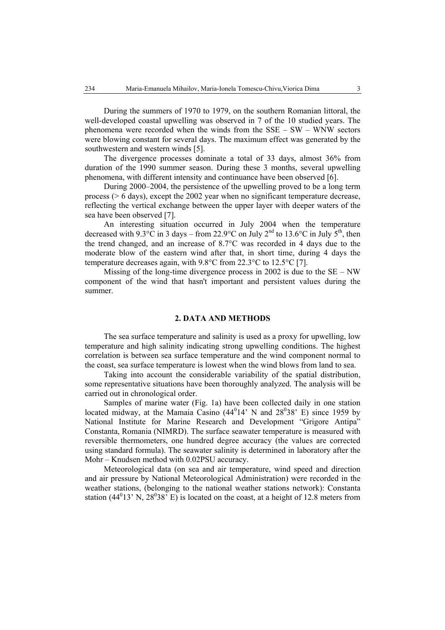During the summers of 1970 to 1979, on the southern Romanian littoral, the well-developed coastal upwelling was observed in 7 of the 10 studied years. The phenomena were recorded when the winds from the  $SSE - SW - WNW$  sectors were blowing constant for several days. The maximum effect was generated by the southwestern and western winds [5].

The divergence processes dominate a total of 33 days, almost 36% from duration of the 1990 summer season. During these 3 months, several upwelling phenomena, with different intensity and continuance have been observed [6].

During 2000–2004, the persistence of the upwelling proved to be a long term process (> 6 days), except the 2002 year when no significant temperature decrease, reflecting the vertical exchange between the upper layer with deeper waters of the sea have been observed [7].

An interesting situation occurred in July 2004 when the temperature decreased with 9.3°C in 3 days – from 22.9°C on July 2<sup>nd</sup> to 13.6°C in July 5<sup>th</sup>, then the trend changed, and an increase of 8.7°C was recorded in 4 days due to the moderate blow of the eastern wind after that, in short time, during 4 days the temperature decreases again, with 9.8°C from 22.3°C to 12.5°C [7].

Missing of the long-time divergence process in 2002 is due to the  $SE - NW$ component of the wind that hasn't important and persistent values during the summer.

## **2. DATA AND METHODS**

The sea surface temperature and salinity is used as a proxy for upwelling, low temperature and high salinity indicating strong upwelling conditions. The highest correlation is between sea surface temperature and the wind component normal to the coast, sea surface temperature is lowest when the wind blows from land to sea.

Taking into account the considerable variability of the spatial distribution, some representative situations have been thoroughly analyzed. The analysis will be carried out in chronological order.

Samples of marine water (Fig. 1a) have been collected daily in one station located midway, at the Mamaia Casino  $(44^014^{\circ}$  N and  $28^038^{\circ}$  E) since 1959 by National Institute for Marine Research and Development "Grigore Antipa" Constanta, Romania (NIMRD). The surface seawater temperature is measured with reversible thermometers, one hundred degree accuracy (the values are corrected using standard formula). The seawater salinity is determined in laboratory after the Mohr – Knudsen method with 0.02PSU accuracy.

Meteorological data (on sea and air temperature, wind speed and direction and air pressure by National Meteorological Administration) were recorded in the weather stations, (belonging to the national weather stations network): Constanta station (44<sup>0</sup>13' N, 28<sup>0</sup>38' E) is located on the coast, at a height of 12.8 meters from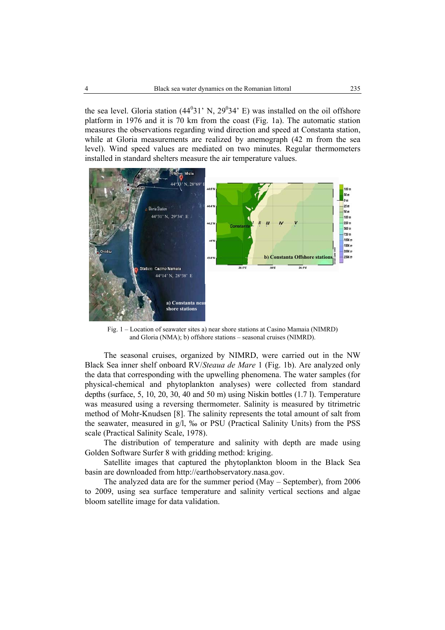the sea level. Gloria station  $(44^031' \text{ N}, 29^034' \text{ E})$  was installed on the oil offshore platform in 1976 and it is 70 km from the coast (Fig. 1a). The automatic station measures the observations regarding wind direction and speed at Constanta station, while at Gloria measurements are realized by anemograph (42 m from the sea level). Wind speed values are mediated on two minutes. Regular thermometers installed in standard shelters measure the air temperature values.



Fig. 1 – Location of seawater sites a) near shore stations at Casino Mamaia (NIMRD) and Gloria (NMA); b) offshore stations – seasonal cruises (NIMRD).

The seasonal cruises, organized by NIMRD, were carried out in the NW Black Sea inner shelf onboard RV/*Steaua de Mare* 1 (Fig. 1b). Are analyzed only the data that corresponding with the upwelling phenomena. The water samples (for physical-chemical and phytoplankton analyses) were collected from standard depths (surface, 5, 10, 20, 30, 40 and 50 m) using Niskin bottles (1.7 l). Temperature was measured using a reversing thermometer. Salinity is measured by titrimetric method of Mohr-Knudsen [8]. The salinity represents the total amount of salt from the seawater, measured in g/l, ‰ or PSU (Practical Salinity Units) from the PSS scale (Practical Salinity Scale, 1978).

The distribution of temperature and salinity with depth are made using Golden Software Surfer 8 with gridding method: kriging.

Satellite images that captured the phytoplankton bloom in the Black Sea basin are downloaded from http://earthobservatory.nasa.gov.

The analyzed data are for the summer period (May – September), from 2006 to 2009, using sea surface temperature and salinity vertical sections and algae bloom satellite image for data validation.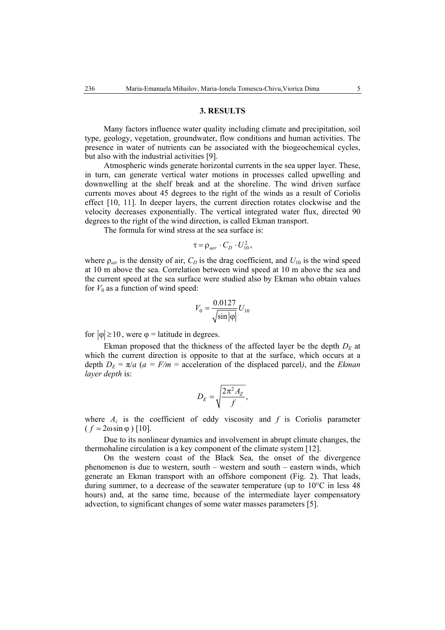#### **3. RESULTS**

Many factors influence water quality including climate and precipitation, soil type, geology, vegetation, groundwater, flow conditions and human activities. The presence in water of nutrients can be associated with the biogeochemical cycles, but also with the industrial activities [9].

Atmospheric winds generate horizontal currents in the sea upper layer. These, in turn, can generate vertical water motions in processes called upwelling and downwelling at the shelf break and at the shoreline. The wind driven surface currents moves about 45 degrees to the right of the winds as a result of Coriolis effect [10, 11]. In deeper layers, the current direction rotates clockwise and the velocity decreases exponentially. The vertical integrated water flux, directed 90 degrees to the right of the wind direction, is called Ekman transport.

The formula for wind stress at the sea surface is:

$$
\tau = \rho_{aer} \cdot C_D \cdot U_{10}^2,
$$

where  $\rho_{air}$  is the density of air,  $C_D$  is the drag coefficient, and  $U_{10}$  is the wind speed at 10 m above the sea. Correlation between wind speed at 10 m above the sea and the current speed at the sea surface were studied also by Ekman who obtain values for  $V_0$  as a function of wind speed:

$$
V_0 = \frac{0.0127}{\sqrt{\sin|\varphi|}} U_{10}
$$

for  $|\varphi| \ge 10$ , were  $\varphi$  = latitude in degrees.

Ekman proposed that the thickness of the affected layer be the depth  $D<sub>E</sub>$  at which the current direction is opposite to that at the surface, which occurs at a depth  $D_E = \pi/a$  ( $a = F/m$  = acceleration of the displaced parcel), and the *Ekman layer depth* is:

$$
D_E = \sqrt{\frac{2\pi^2 A_Z}{f}},
$$

where  $A_z$  is the coefficient of eddy viscosity and  $f$  is Coriolis parameter  $(f = 2\omega \sin \varphi)$  [10].

Due to its nonlinear dynamics and involvement in abrupt climate changes, the thermohaline circulation is a key component of the climate system [12].

On the western coast of the Black Sea, the onset of the divergence phenomenon is due to western, south – western and south – eastern winds, which generate an Ekman transport with an offshore component (Fig. 2). That leads, during summer, to a decrease of the seawater temperature (up to 10°C in less 48 hours) and, at the same time, because of the intermediate layer compensatory advection, to significant changes of some water masses parameters [5].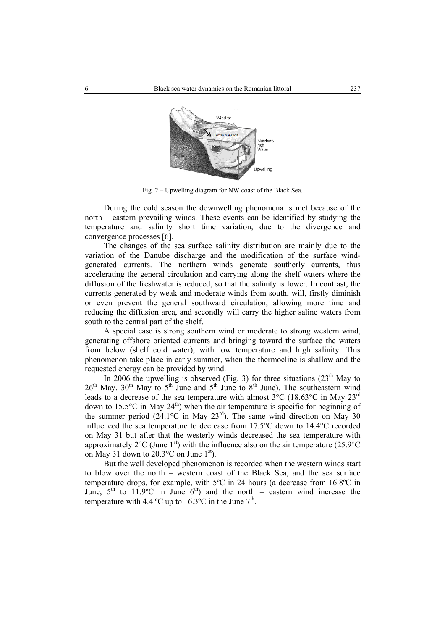

Fig. 2 – Upwelling diagram for NW coast of the Black Sea.

During the cold season the downwelling phenomena is met because of the north – eastern prevailing winds. These events can be identified by studying the temperature and salinity short time variation, due to the divergence and convergence processes [6].

The changes of the sea surface salinity distribution are mainly due to the variation of the Danube discharge and the modification of the surface windgenerated currents. The northern winds generate southerly currents, thus accelerating the general circulation and carrying along the shelf waters where the diffusion of the freshwater is reduced, so that the salinity is lower. In contrast, the currents generated by weak and moderate winds from south, will, firstly diminish or even prevent the general southward circulation, allowing more time and reducing the diffusion area, and secondly will carry the higher saline waters from south to the central part of the shelf.

A special case is strong southern wind or moderate to strong western wind, generating offshore oriented currents and bringing toward the surface the waters from below (shelf cold water), with low temperature and high salinity. This phenomenon take place in early summer, when the thermocline is shallow and the requested energy can be provided by wind.

In 2006 the upwelling is observed (Fig. 3) for three situations  $(23<sup>th</sup>$  May to  $26<sup>th</sup>$  May,  $30<sup>th</sup>$  May to  $5<sup>th</sup>$  June and  $5<sup>th</sup>$  June to  $8<sup>th</sup>$  June). The southeastern wind leads to a decrease of the sea temperature with almost  $3^{\circ}$ C (18.63 $^{\circ}$ C in May 23<sup>rd</sup> down to 15.5°C in May  $24<sup>th</sup>$ ) when the air temperature is specific for beginning of the summer period  $(24.1^{\circ}\text{C}$  in May  $23^{\text{rd}})$ . The same wind direction on May 30 influenced the sea temperature to decrease from 17.5°C down to 14.4°C recorded on May 31 but after that the westerly winds decreased the sea temperature with approximately  $2^{\circ}$ C (June 1<sup>st</sup>) with the influence also on the air temperature (25.9 $^{\circ}$ C on May 31 down to  $20.3^{\circ}$ C on June 1<sup>st</sup>).

But the well developed phenomenon is recorded when the western winds start to blow over the north – western coast of the Black Sea, and the sea surface temperature drops, for example, with 5ºC in 24 hours (a decrease from 16.8ºC in June,  $5^{th}$  to 11.9°C in June  $6^{th}$ ) and the north – eastern wind increase the temperature with 4.4  $^{\circ}$ C up to 16.3 $^{\circ}$ C in the June  $7^{\text{th}}$ .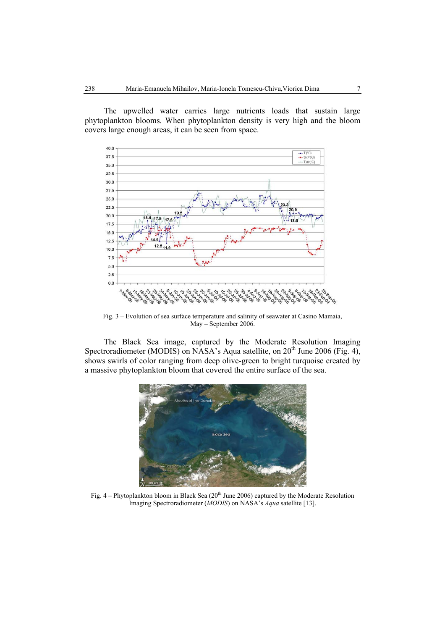The upwelled water carries large nutrients loads that sustain large phytoplankton blooms. When phytoplankton density is very high and the bloom covers large enough areas, it can be seen from space.



Fig. 3 – Evolution of sea surface temperature and salinity of seawater at Casino Mamaia, May – September 2006.

The Black Sea image, captured by the Moderate Resolution Imaging Spectroradiometer (MODIS) on NASA's Aqua satellite, on 20<sup>th</sup> June 2006 (Fig. 4), shows swirls of color ranging from deep olive-green to bright turquoise created by a massive phytoplankton bloom that covered the entire surface of the sea.



Fig.  $4$  – Phytoplankton bloom in Black Sea (20<sup>th</sup> June 2006) captured by the Moderate Resolution Imaging Spectroradiometer (*MODIS*) on NASA's *Aqua* satellite [13].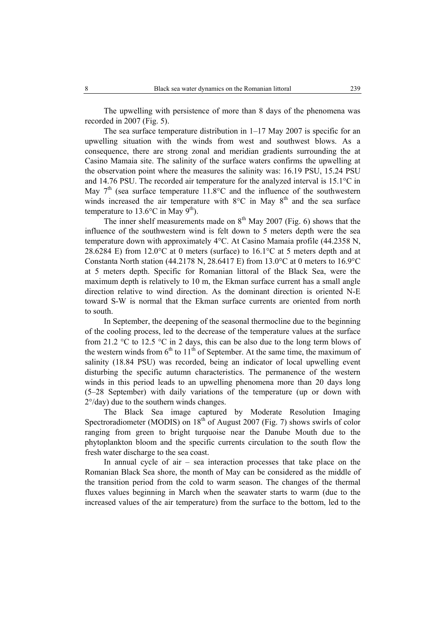The upwelling with persistence of more than 8 days of the phenomena was recorded in 2007 (Fig. 5).

The sea surface temperature distribution in 1–17 May 2007 is specific for an upwelling situation with the winds from west and southwest blows. As a consequence, there are strong zonal and meridian gradients surrounding the at Casino Mamaia site. The salinity of the surface waters confirms the upwelling at the observation point where the measures the salinity was: 16.19 PSU, 15.24 PSU and 14.76 PSU. The recorded air temperature for the analyzed interval is 15.1°C in May  $7<sup>th</sup>$  (sea surface temperature 11.8 $\degree$ C and the influence of the southwestern winds increased the air temperature with  $8^{\circ}$ C in May  $8^{\text{th}}$  and the sea surface temperature to 13.6 $\degree$ C in May 9<sup>th</sup>).

The inner shelf measurements made on  $8<sup>th</sup>$  May 2007 (Fig. 6) shows that the influence of the southwestern wind is felt down to 5 meters depth were the sea temperature down with approximately 4°C. At Casino Mamaia profile (44.2358 N, 28.6284 E) from 12.0 $\degree$ C at 0 meters (surface) to 16.1 $\degree$ C at 5 meters depth and at Constanta North station (44.2178 N, 28.6417 E) from 13.0°C at 0 meters to 16.9°C at 5 meters depth. Specific for Romanian littoral of the Black Sea, were the maximum depth is relatively to 10 m, the Ekman surface current has a small angle direction relative to wind direction. As the dominant direction is oriented N-E toward S-W is normal that the Ekman surface currents are oriented from north to south.

In September, the deepening of the seasonal thermocline due to the beginning of the cooling process, led to the decrease of the temperature values at the surface from 21.2 °C to 12.5 °C in 2 days, this can be also due to the long term blows of the western winds from  $6<sup>th</sup>$  to  $11<sup>th</sup>$  of September. At the same time, the maximum of salinity (18.84 PSU) was recorded, being an indicator of local upwelling event disturbing the specific autumn characteristics. The permanence of the western winds in this period leads to an upwelling phenomena more than 20 days long (5–28 September) with daily variations of the temperature (up or down with 2°/day) due to the southern winds changes.

The Black Sea image captured by Moderate Resolution Imaging Spectroradiometer (MODIS) on  $18<sup>th</sup>$  of August 2007 (Fig. 7) shows swirls of color ranging from green to bright turquoise near the Danube Mouth due to the phytoplankton bloom and the specific currents circulation to the south flow the fresh water discharge to the sea coast.

In annual cycle of  $air - sea$  interaction processes that take place on the Romanian Black Sea shore, the month of May can be considered as the middle of the transition period from the cold to warm season. The changes of the thermal fluxes values beginning in March when the seawater starts to warm (due to the increased values of the air temperature) from the surface to the bottom, led to the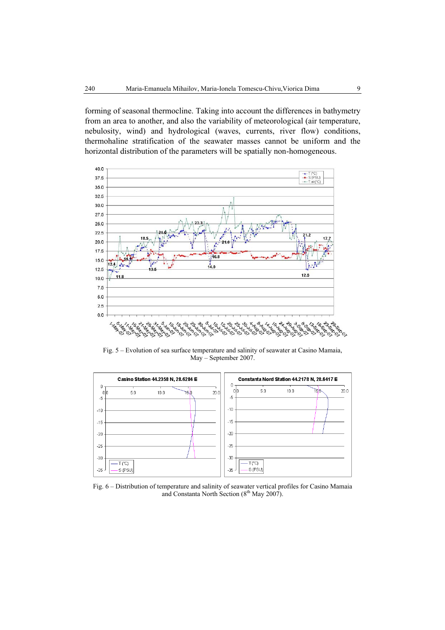forming of seasonal thermocline. Taking into account the differences in bathymetry from an area to another, and also the variability of meteorological (air temperature, nebulosity, wind) and hydrological (waves, currents, river flow) conditions, thermohaline stratification of the seawater masses cannot be uniform and the horizontal distribution of the parameters will be spatially non-homogeneous.



Fig. 5 – Evolution of sea surface temperature and salinity of seawater at Casino Mamaia, May – September 2007.



Fig. 6 – Distribution of temperature and salinity of seawater vertical profiles for Casino Mamaia and Constanta North Section (8<sup>th</sup> May 2007).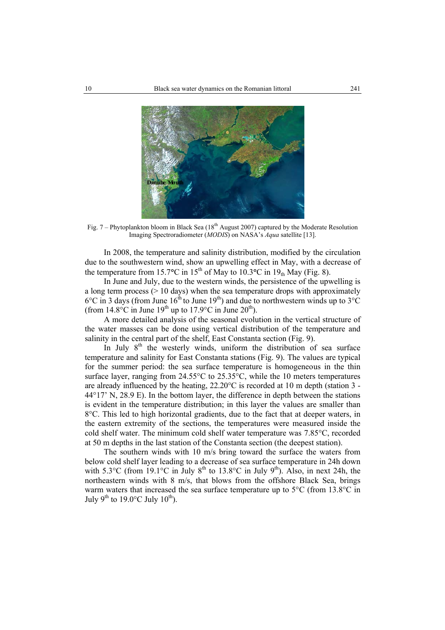

Fig. 7 – Phytoplankton bloom in Black Sea ( $18<sup>th</sup>$  August 2007) captured by the Moderate Resolution Imaging Spectroradiometer (*MODIS*) on NASA's *Aqua* satellite [13].

In 2008, the temperature and salinity distribution, modified by the circulation due to the southwestern wind, show an upwelling effect in May, with a decrease of the temperature from 15.7°C in 15<sup>th</sup> of May to 10.3°C in 19<sub>th</sub> May (Fig. 8).

In June and July, due to the western winds, the persistence of the upwelling is a long term process ( $> 10$  days) when the sea temperature drops with approximately  $6^{\circ}$ C in 3 days (from June  $16^{th}$  to June  $19^{th}$ ) and due to northwestern winds up to  $3^{\circ}$ C (from  $14.8^{\circ}$ C in June  $19^{th}$  up to  $17.9^{\circ}$ C in June  $20^{th}$ ).

A more detailed analysis of the seasonal evolution in the vertical structure of the water masses can be done using vertical distribution of the temperature and salinity in the central part of the shelf, East Constanta section (Fig. 9).

In July  $8<sup>th</sup>$  the westerly winds, uniform the distribution of sea surface temperature and salinity for East Constanta stations (Fig. 9). The values are typical for the summer period: the sea surface temperature is homogeneous in the thin surface layer, ranging from 24.55°C to 25.35°C, while the 10 meters temperatures are already influenced by the heating, 22.20°C is recorded at 10 m depth (station 3 - 44°17' N, 28.9 E). In the bottom layer, the difference in depth between the stations is evident in the temperature distribution; in this layer the values are smaller than 8°C. This led to high horizontal gradients, due to the fact that at deeper waters, in the eastern extremity of the sections, the temperatures were measured inside the cold shelf water. The minimum cold shelf water temperature was 7.85°C, recorded at 50 m depths in the last station of the Constanta section (the deepest station).

The southern winds with 10 m/s bring toward the surface the waters from below cold shelf layer leading to a decrease of sea surface temperature in 24h down with 5.3°C (from 19.1°C in July 8<sup>th</sup> to 13.8°C in July 9<sup>th</sup>). Also, in next 24h, the northeastern winds with 8 m/s, that blows from the offshore Black Sea, brings warm waters that increased the sea surface temperature up to 5<sup>o</sup>C (from 13.8<sup>o</sup>C in July 9<sup>th</sup> to 19.0°C July 10<sup>th</sup>).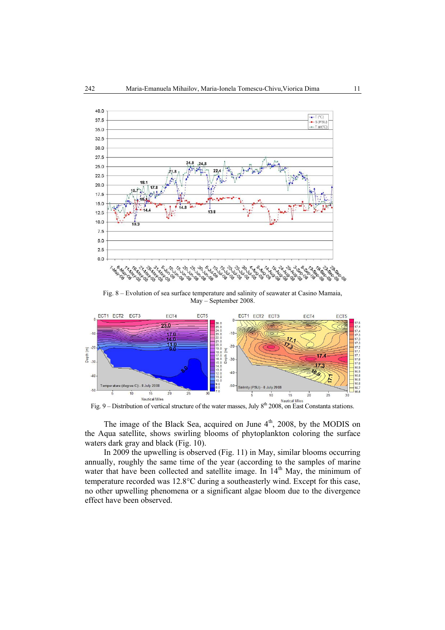

Fig. 8 – Evolution of sea surface temperature and salinity of seawater at Casino Mamaia, May – September 2008.



The image of the Black Sea, acquired on June  $4<sup>th</sup>$ , 2008, by the MODIS on the Aqua satellite, shows swirling blooms of phytoplankton coloring the surface waters dark gray and black (Fig. 10).

In 2009 the upwelling is observed (Fig. 11) in May, similar blooms occurring annually, roughly the same time of the year (according to the samples of marine water that have been collected and satellite image. In  $14<sup>th</sup>$  May, the minimum of temperature recorded was 12.8°C during a southeasterly wind. Except for this case, no other upwelling phenomena or a significant algae bloom due to the divergence effect have been observed.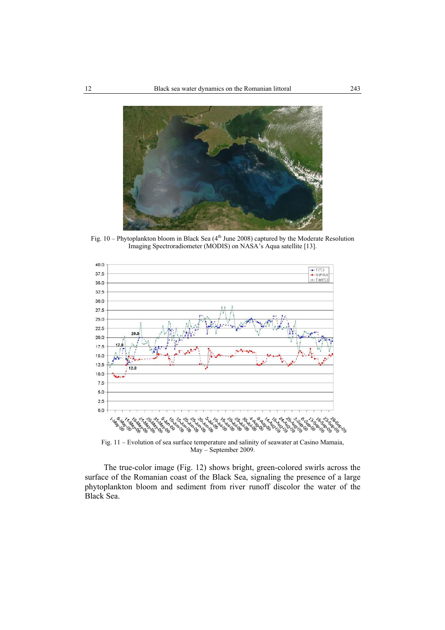

Fig. 10 – Phytoplankton bloom in Black Sea (4<sup>th</sup> June 2008) captured by the Moderate Resolution Imaging Spectroradiometer (MODIS) on NASA's Aqua satellite [13].



Fig. 11 – Evolution of sea surface temperature and salinity of seawater at Casino Mamaia, May – September 2009.

The true-color image (Fig. 12) shows bright, green-colored swirls across the surface of the Romanian coast of the Black Sea, signaling the presence of a large phytoplankton bloom and sediment from river runoff discolor the water of the Black Sea.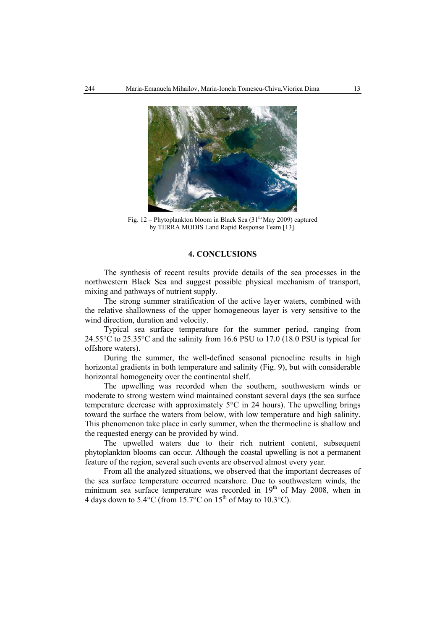

Fig. 12 – Phytoplankton bloom in Black Sea (31<sup>th</sup> May 2009) captured by TERRA MODIS Land Rapid Response Team [13].

### **4. CONCLUSIONS**

The synthesis of recent results provide details of the sea processes in the northwestern Black Sea and suggest possible physical mechanism of transport, mixing and pathways of nutrient supply.

The strong summer stratification of the active layer waters, combined with the relative shallowness of the upper homogeneous layer is very sensitive to the wind direction, duration and velocity.

Typical sea surface temperature for the summer period, ranging from 24.55°C to 25.35°C and the salinity from 16.6 PSU to 17.0 (18.0 PSU is typical for offshore waters).

During the summer, the well-defined seasonal picnocline results in high horizontal gradients in both temperature and salinity (Fig. 9), but with considerable horizontal homogeneity over the continental shelf.

The upwelling was recorded when the southern, southwestern winds or moderate to strong western wind maintained constant several days (the sea surface temperature decrease with approximately 5°C in 24 hours). The upwelling brings toward the surface the waters from below, with low temperature and high salinity. This phenomenon take place in early summer, when the thermocline is shallow and the requested energy can be provided by wind.

The upwelled waters due to their rich nutrient content, subsequent phytoplankton blooms can occur. Although the coastal upwelling is not a permanent feature of the region, several such events are observed almost every year.

From all the analyzed situations, we observed that the important decreases of the sea surface temperature occurred nearshore. Due to southwestern winds, the minimum sea surface temperature was recorded in  $19<sup>th</sup>$  of May 2008, when in 4 days down to  $5.4^{\circ}$ C (from 15.7°C on  $15^{th}$  of May to  $10.3^{\circ}$ C).